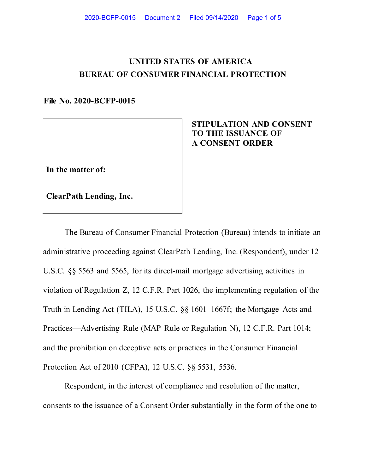## **UNITED STATES OF AMERICA BUREAU OF CONSUMER FINANCIAL PROTECTION**

**File No. 2020-BCFP-0015** 

 **STIPULATION AND CONSENT TO THE ISSUANCE OF A CONSENT ORDER**

**In the matter of:**

**ClearPath Lending, Inc.**

The Bureau of Consumer Financial Protection (Bureau) intends to initiate an administrative proceeding against ClearPath Lending, Inc. (Respondent), under 12 U.S.C. §§ 5563 and 5565, for its direct-mail mortgage advertising activities in violation of Regulation Z, 12 C.F.R. Part 1026, the implementing regulation of the Truth in Lending Act (TILA), 15 U.S.C. §§ 1601–1667f; the Mortgage Acts and Practices—Advertising Rule (MAP Rule or Regulation N), 12 C.F.R. Part 1014; and the prohibition on deceptive acts or practices in the Consumer Financial Protection Act of 2010 (CFPA), 12 U.S.C. §§ 5531, 5536.

Respondent, in the interest of compliance and resolution of the matter, consents to the issuance of a Consent Order substantially in the form of the one to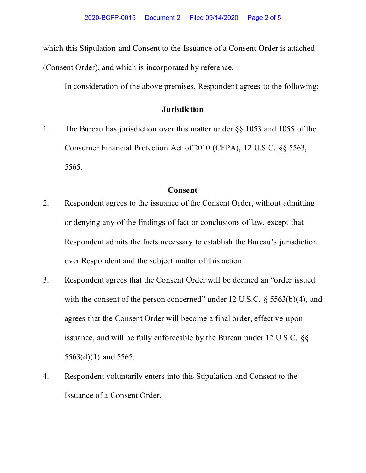which this Stipulation and Consent to the Issuance of a Consent Order is attached (Consent Order), and which is incorporated by reference.

In consideration of the above premises, Respondent agrees to the following:

## **Jurisdiction**

1. The Bureau has jurisdiction over this matter under §§ 1053 and 1055 of the Consumer Financial Protection Act of 2010 (CFPA), 12 U.S.C. §§ 5563, 5565.

## **Consent**

- 2. Respondent agrees to the issuance of the Consent Order, without admitting or denying any of the findings of fact or conclusions of law, except that Respondent admits the facts necessary to establish the Bureau's jurisdiction over Respondent and the subject matter of this action.
- 3. Respondent agrees that the Consent Order will be deemed an "order issued with the consent of the person concerned" under 12 U.S.C.  $\S$  5563(b)(4), and agrees that the Consent Order will become a final order, effective upon issuance, and will be fully enforceable by the Bureau under 12 U.S.C. §§ 5563(d)(1) and 5565.
- 4. Respondent voluntarily enters into this Stipulation and Consent to the Issuance of a Consent Order.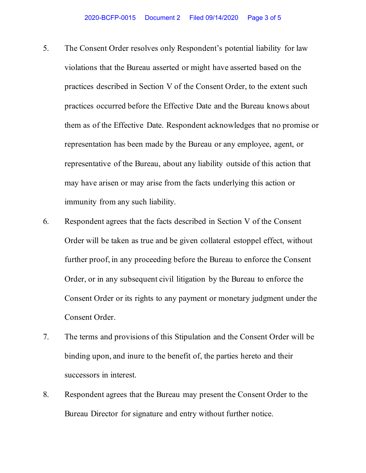- 5. The Consent Order resolves only Respondent's potential liability for law violations that the Bureau asserted or might have asserted based on the practices described in Section V of the Consent Order, to the extent such practices occurred before the Effective Date and the Bureau knows about them as of the Effective Date. Respondent acknowledges that no promise or representation has been made by the Bureau or any employee, agent, or representative of the Bureau, about any liability outside of this action that may have arisen or may arise from the facts underlying this action or immunity from any such liability.
- 6. Respondent agrees that the facts described in Section V of the Consent Order will be taken as true and be given collateral estoppel effect, without further proof, in any proceeding before the Bureau to enforce the Consent Order, or in any subsequent civil litigation by the Bureau to enforce the Consent Order or its rights to any payment or monetary judgment under the Consent Order.
- 7. The terms and provisions of this Stipulation and the Consent Order will be binding upon, and inure to the benefit of, the parties hereto and their successors in interest.
- 8. Respondent agrees that the Bureau may present the Consent Order to the Bureau Director for signature and entry without further notice.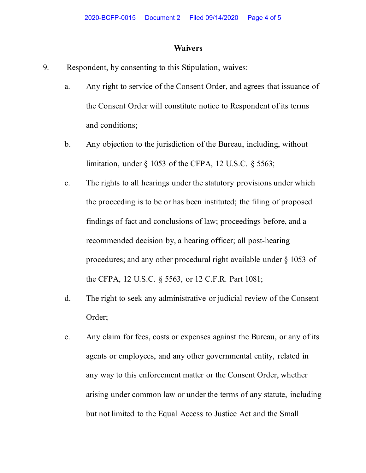## **Waivers**

- 9. Respondent, by consenting to this Stipulation, waives:
	- a. Any right to service of the Consent Order, and agrees that issuance of the Consent Order will constitute notice to Respondent of its terms and conditions;
	- b. Any objection to the jurisdiction of the Bureau, including, without limitation, under § 1053 of the CFPA, 12 U.S.C. § 5563;
	- c. The rights to all hearings under the statutory provisions under which the proceeding is to be or has been instituted; the filing of proposed findings of fact and conclusions of law; proceedings before, and a recommended decision by, a hearing officer; all post-hearing procedures; and any other procedural right available under § 1053 of the CFPA, 12 U.S.C. § 5563, or 12 C.F.R. Part 1081;
	- d. The right to seek any administrative or judicial review of the Consent Order;
	- e. Any claim for fees, costs or expenses against the Bureau, or any of its agents or employees, and any other governmental entity, related in any way to this enforcement matter or the Consent Order, whether arising under common law or under the terms of any statute, including but not limited to the Equal Access to Justice Act and the Small